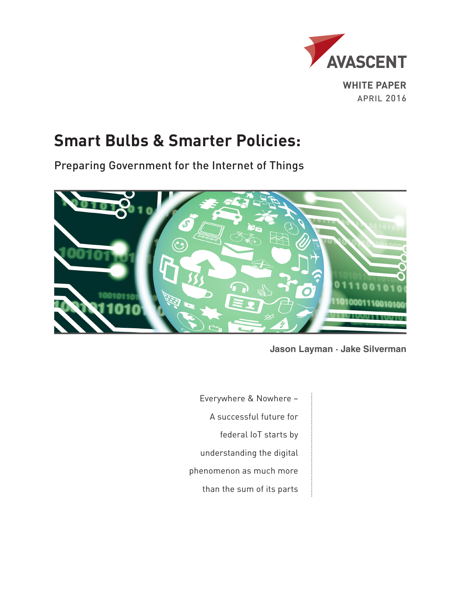

# **Smart Bulbs & Smarter Policies:**

Preparing Government for the Internet of Things



**Jason Layman · Jake Silverman**

Everywhere & Nowhere – A successful future for federal IoT starts by understanding the digital phenomenon as much more than the sum of its parts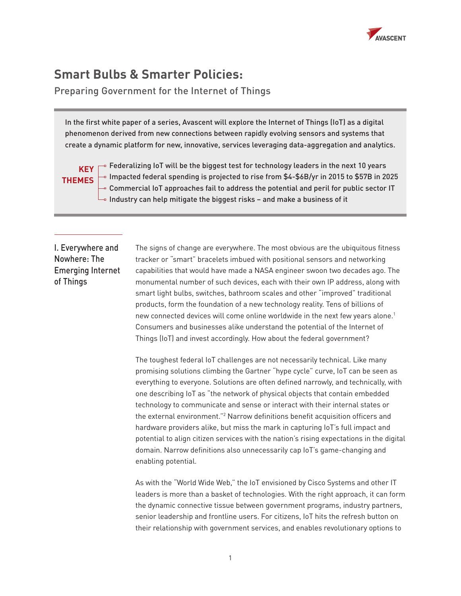

## **Smart Bulbs & Smarter Policies:**

Preparing Government for the Internet of Things

In the first white paper of a series, Avascent will explore the Internet of Things (IoT) as a digital phenomenon derived from new connections between rapidly evolving sensors and systems that create a dynamic platform for new, innovative, services leveraging data-aggregation and analytics.

## **THEMES**

 $\mathsf{KEY} \, \mathsf{\Gamma}^\circ \,$  Federalizing IoT will be the biggest test for technology leaders in the next 10 years  $\multimap$  Impacted federal spending is projected to rise from \$4-\$6B/yr in 2015 to \$57B in 2025  $\overline{\phantom{a}}$  Commercial IoT approaches fail to address the potential and peril for public sector IT  $\mathrel{\sqsubseteq}$  Industry can help mitigate the biggest risks – and make a business of it

## I. Everywhere and Nowhere: The Emerging Internet of Things

The signs of change are everywhere. The most obvious are the ubiquitous fitness tracker or "smart" bracelets imbued with positional sensors and networking capabilities that would have made a NASA engineer swoon two decades ago. The monumental number of such devices, each with their own IP address, along with smart light bulbs, switches, bathroom scales and other "improved" traditional products, form the foundation of a new technology reality. Tens of billions of new connected devices will come online worldwide in the next few years alone.1 Consumers and businesses alike understand the potential of the Internet of Things (IoT) and invest accordingly. How about the federal government?

The toughest federal IoT challenges are not necessarily technical. Like many promising solutions climbing the Gartner "hype cycle" curve, IoT can be seen as everything to everyone. Solutions are often defined narrowly, and technically, with one describing IoT as "the network of physical objects that contain embedded technology to communicate and sense or interact with their internal states or the external environment."<sup>2</sup> Narrow definitions benefit acquisition officers and hardware providers alike, but miss the mark in capturing IoT's full impact and potential to align citizen services with the nation's rising expectations in the digital domain. Narrow definitions also unnecessarily cap IoT's game-changing and enabling potential.

As with the "World Wide Web," the IoT envisioned by Cisco Systems and other IT leaders is more than a basket of technologies. With the right approach, it can form the dynamic connective tissue between government programs, industry partners, senior leadership and frontline users. For citizens, IoT hits the refresh button on their relationship with government services, and enables revolutionary options to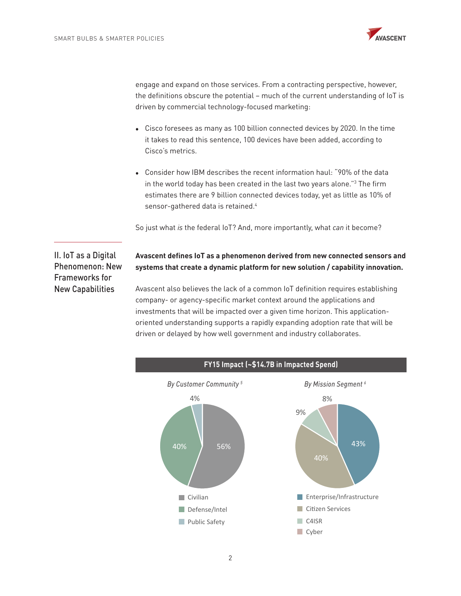

engage and expand on those services. From a contracting perspective, however, the definitions obscure the potential – much of the current understanding of IoT is driven by commercial technology-focused marketing:

- Cisco foresees as many as 100 billion connected devices by 2020. In the time it takes to read this sentence, 100 devices have been added, according to Cisco's metrics.
- Consider how IBM describes the recent information haul: "90% of the data in the world today has been created in the last two years alone."3 The firm estimates there are 9 billion connected devices today, yet as little as 10% of sensor-gathered data is retained.<sup>4</sup>

So just what *is* the federal IoT? And, more importantly, what *can* it become?

II. IoT as a Digital Phenomenon: New Frameworks for New Capabilities

### **Avascent defines IoT as a phenomenon derived from new connected sensors and systems that create a dynamic platform for new solution / capability innovation.**

Avascent also believes the lack of a common IoT definition requires establishing company- or agency-specific market context around the applications and investments that will be impacted over a given time horizon. This applicationoriented understanding supports a rapidly expanding adoption rate that will be driven or delayed by how well government and industry collaborates.

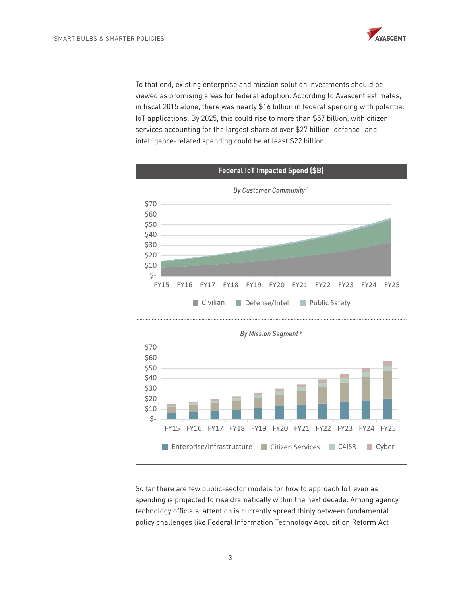

To that end, existing enterprise and mission solution investments should be viewed as promising areas for federal adoption. According to Avascent estimates, in fiscal 2015 alone, there was nearly \$16 billion in federal spending with potential IoT applications. By 2025, this could rise to more than \$57 billion, with citizen services accounting for the largest share at over \$27 billion; defense- and intelligence-related spending could be at least \$22 billion.





So far there are few public-sector models for how to approach IoT even as spending is projected to rise dramatically within the next decade. Among agency technology officials, attention is currently spread thinly between fundamental policy challenges like Federal Information Technology Acquisition Reform Act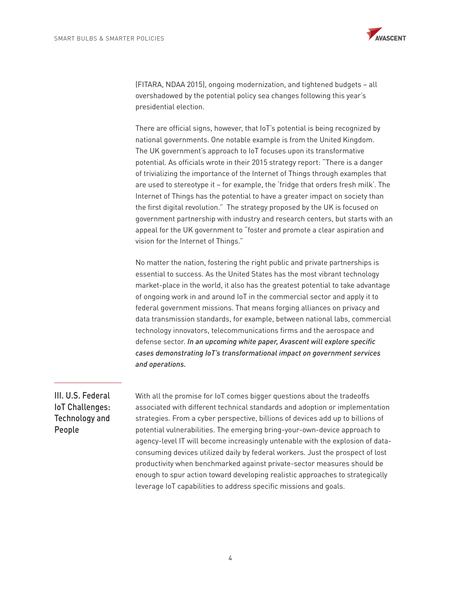

(FITARA, NDAA 2015), ongoing modernization, and tightened budgets – all overshadowed by the potential policy sea changes following this year's presidential election.

There are official signs, however, that IoT's potential is being recognized by national governments. One notable example is from the United Kingdom. The UK government's approach to IoT focuses upon its transformative potential. As officials wrote in their 2015 strategy report: "There is a danger of trivializing the importance of the Internet of Things through examples that are used to stereotype it – for example, the 'fridge that orders fresh milk'. The Internet of Things has the potential to have a greater impact on society than the first digital revolution." The strategy proposed by the UK is focused on government partnership with industry and research centers, but starts with an appeal for the UK government to "foster and promote a clear aspiration and vision for the Internet of Things."

No matter the nation, fostering the right public and private partnerships is essential to success. As the United States has the most vibrant technology market-place in the world, it also has the greatest potential to take advantage of ongoing work in and around IoT in the commercial sector and apply it to federal government missions. That means forging alliances on privacy and data transmission standards, for example, between national labs, commercial technology innovators, telecommunications firms and the aerospace and defense sector. In an upcoming white paper, Avascent will explore specific *cases demonstrating IoT's transformational impact on government services and operations.*

## III. U.S. Federal IoT Challenges: Technology and People

With all the promise for IoT comes bigger questions about the tradeoffs associated with different technical standards and adoption or implementation strategies. From a cyber perspective, billions of devices add up to billions of potential vulnerabilities. The emerging bring-your-own-device approach to agency-level IT will become increasingly untenable with the explosion of dataconsuming devices utilized daily by federal workers. Just the prospect of lost productivity when benchmarked against private-sector measures should be enough to spur action toward developing realistic approaches to strategically leverage IoT capabilities to address specific missions and goals.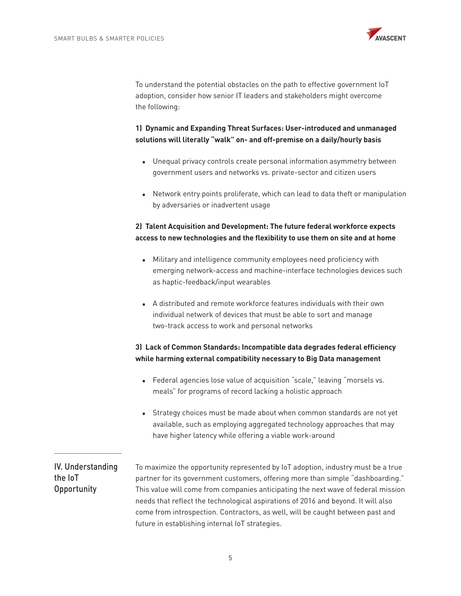

To understand the potential obstacles on the path to effective government IoT adoption, consider how senior IT leaders and stakeholders might overcome the following:

### **1) Dynamic and Expanding Threat Surfaces: User-introduced and unmanaged solutions will literally "walk" on- and off-premise on a daily/hourly basis**

- Unequal privacy controls create personal information asymmetry between government users and networks vs. private-sector and citizen users
- Network entry points proliferate, which can lead to data theft or manipulation by adversaries or inadvertent usage

### **2) Talent Acquisition and Development: The future federal workforce expects access to new technologies and the flexibility to use them on site and at home**

- Military and intelligence community employees need proficiency with emerging network-access and machine-interface technologies devices such as haptic-feedback/input wearables
- A distributed and remote workforce features individuals with their own individual network of devices that must be able to sort and manage two-track access to work and personal networks

### **3) Lack of Common Standards: Incompatible data degrades federal efficiency while harming external compatibility necessary to Big Data management**

- Federal agencies lose value of acquisition "scale," leaving "morsels vs. meals" for programs of record lacking a holistic approach
- Strategy choices must be made about when common standards are not yet available, such as employing aggregated technology approaches that may have higher latency while offering a viable work-around

## IV. Understanding the IoT **Opportunity**

To maximize the opportunity represented by IoT adoption, industry must be a true partner for its government customers, offering more than simple "dashboarding." This value will come from companies anticipating the next wave of federal mission needs that reflect the technological aspirations of 2016 and beyond. It will also come from introspection. Contractors, as well, will be caught between past and future in establishing internal IoT strategies.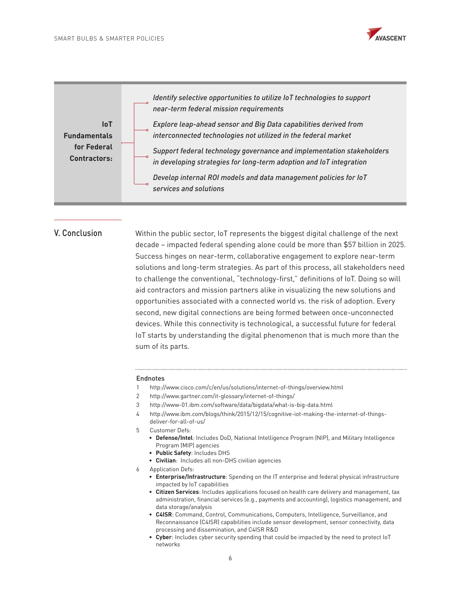



#### V. Conclusion

Within the public sector, IoT represents the biggest digital challenge of the next decade – impacted federal spending alone could be more than \$57 billion in 2025. Success hinges on near-term, collaborative engagement to explore near-term solutions and long-term strategies. As part of this process, all stakeholders need to challenge the conventional, "technology-first," definitions of IoT. Doing so will aid contractors and mission partners alike in visualizing the new solutions and opportunities associated with a connected world vs. the risk of adoption. Every second, new digital connections are being formed between once-unconnected devices. While this connectivity is technological, a successful future for federal IoT starts by understanding the digital phenomenon that is much more than the sum of its parts.

#### Endnotes

- 1 http://www.cisco.com/c/en/us/solutions/internet-of-things/overview.html
- 2 http://www.gartner.com/it-glossary/internet-of-things/
- 3 http://www-01.ibm.com/software/data/bigdata/what-is-big-data.html
- 4 http://www.ibm.com/blogs/think/2015/12/15/cognitive-iot-making-the-internet-of-thingsdeliver-for-all-of-us/
- 5 Customer Defs:
	- **• Defense/Intel**: Includes DoD, National Intelligence Program (NIP), and Military Intelligence Program (MIP) agencies
	- **• Public Safety**: Includes DHS
	- **• Civilian**: Includes all non-DHS civilian agencies
- 6 Application Defs:
	- **• Enterprise/Infrastructure**: Spending on the IT enterprise and federal physical infrastructure impacted by IoT capabilities
	- **• Citizen Services**: Includes applications focused on health care delivery and management, tax administration, financial services (e.g., payments and accounting), logistics management, and data storage/analysis
	- **• C4ISR**: Command, Control, Communications, Computers, Intelligence, Surveillance, and Reconnaissance (C4ISR) capabilities include sensor development, sensor connectivity, data processing and dissemination, and C4ISR R&D
	- **• Cyber**: Includes cyber security spending that could be impacted by the need to protect IoT networks